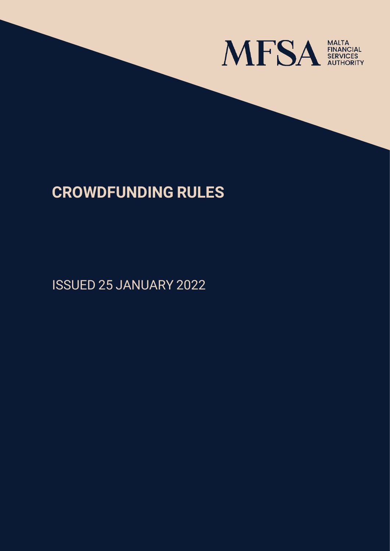

# **CROWDFUNDING RULES**

ISSUED 25 JANUARY 2022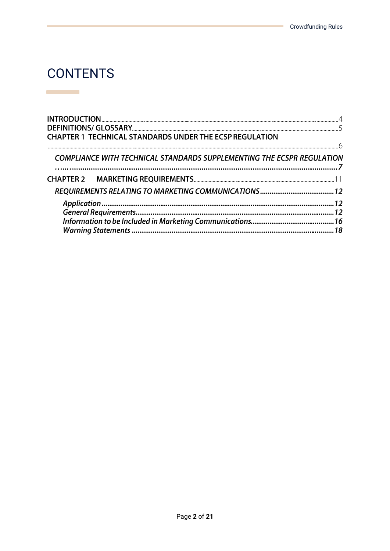## **CONTENTS**

**Contract Contract** 

| <b>CHAPTER 1 TECHNICAL STANDARDS UNDER THE ECSP REGULATION</b>         |  |
|------------------------------------------------------------------------|--|
|                                                                        |  |
| COMPLIANCE WITH TECHNICAL STANDARDS SUPPLEMENTING THE ECSPR REGULATION |  |
|                                                                        |  |
|                                                                        |  |
|                                                                        |  |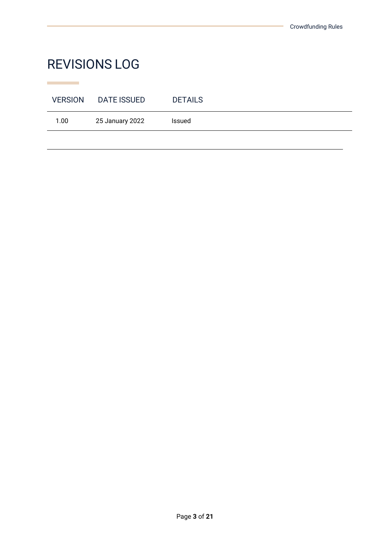# REVISIONS LOG

**Contract Contract** 

| <b>VERSION</b> | DATE ISSUED     | <b>DETAILS</b> |
|----------------|-----------------|----------------|
| 1.00           | 25 January 2022 | Issued         |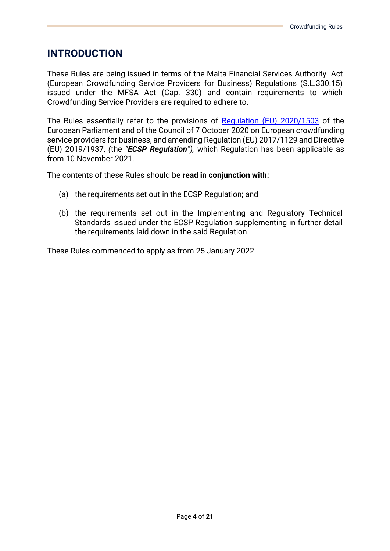### **INTRODUCTION**

These Rules are being issued in terms of the Malta Financial Services Authority Act (European Crowdfunding Service Providers for Business) Regulations (S.L.330.15) issued under the MFSA Act (Cap. 330) and contain requirements to which Crowdfunding Service Providers are required to adhere to.

The Rules essentially refer to the provisions of [Regulation \(EU\) 2020/1503](https://eur-lex.europa.eu/legal-content/EN/TXT/?uri=CELEX%3A32020R1503) of the European Parliament and of the Council of 7 October 2020 on European crowdfunding service providers for business, and amending Regulation (EU) 2017/1129 and Directive (EU) 2019/1937, *(*the *"ECSP Regulation"),* which Regulation has been applicable as from 10 November 2021.

The contents of these Rules should be **read in conjunction with:**

- (a) the requirements set out in the ECSP Regulation; and
- (b) the requirements set out in the Implementing and Regulatory Technical Standards issued under the ECSP Regulation supplementing in further detail the requirements laid down in the said Regulation.

These Rules commenced to apply as from 25 January 2022.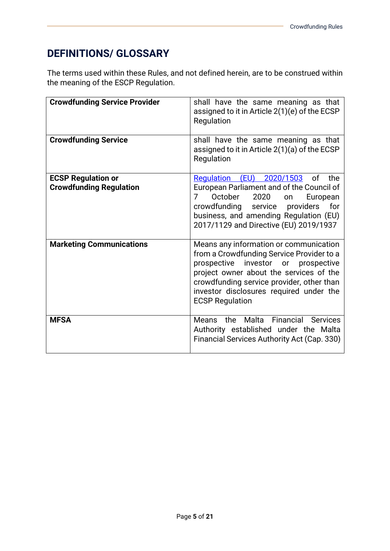## **DEFINITIONS/ GLOSSARY**

The terms used within these Rules, and not defined herein, are to be construed within the meaning of the ESCP Regulation.

| <b>Crowdfunding Service Provider</b>                        | shall have the same meaning as that<br>assigned to it in Article 2(1)(e) of the ECSP<br>Regulation                                                                                                                                                                                      |
|-------------------------------------------------------------|-----------------------------------------------------------------------------------------------------------------------------------------------------------------------------------------------------------------------------------------------------------------------------------------|
| <b>Crowdfunding Service</b>                                 | shall have the same meaning as that<br>assigned to it in Article 2(1)(a) of the ECSP<br>Regulation                                                                                                                                                                                      |
| <b>ECSP Regulation or</b><br><b>Crowdfunding Regulation</b> | Regulation (EU) 2020/1503<br>of<br>the<br>European Parliament and of the Council of<br>October<br>2020<br>7<br>European<br>on<br>crowdfunding<br>service<br>providers<br>for<br>business, and amending Regulation (EU)<br>2017/1129 and Directive (EU) 2019/1937                        |
| <b>Marketing Communications</b>                             | Means any information or communication<br>from a Crowdfunding Service Provider to a<br>prospective investor or prospective<br>project owner about the services of the<br>crowdfunding service provider, other than<br>investor disclosures required under the<br><b>ECSP Regulation</b> |
| <b>MFSA</b>                                                 | Financial<br>Means the Malta<br><b>Services</b><br>Authority established under the Malta<br>Financial Services Authority Act (Cap. 330)                                                                                                                                                 |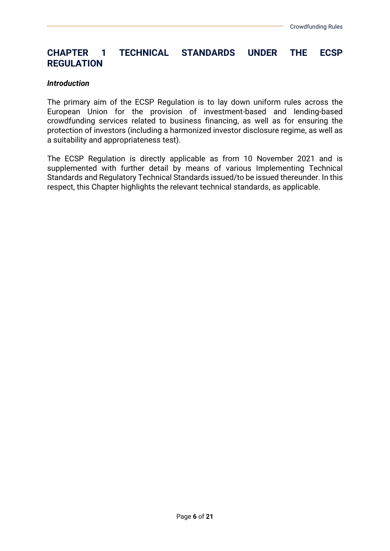### **CHAPTER 1 TECHNICAL STANDARDS UNDER THE ECSP REGULATION**

#### *Introduction*

The primary aim of the ECSP Regulation is to lay down uniform rules across the European Union for the provision of investment-based and lending-based crowdfunding services related to business financing, as well as for ensuring the protection of investors (including a harmonized investor disclosure regime, as well as a suitability and appropriateness test).

The ECSP Regulation is directly applicable as from 10 November 2021 and is supplemented with further detail by means of various Implementing Technical Standards and Regulatory Technical Standards issued/to be issued thereunder. In this respect, this Chapter highlights the relevant technical standards, as applicable.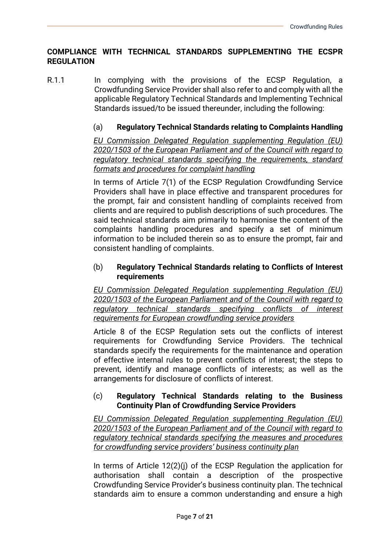#### **COMPLIANCE WITH TECHNICAL STANDARDS SUPPLEMENTING THE ECSPR REGULATION**

R.1.1 In complying with the provisions of the ECSP Regulation, a Crowdfunding Service Provider shall also refer to and comply with all the applicable Regulatory Technical Standards and Implementing Technical Standards issued/to be issued thereunder, including the following:

#### (a) **Regulatory Technical Standards relating to Complaints Handling**

*EU Commission Delegated Regulation supplementing Regulation (EU) 2020/1503 of the European Parliament and of the Council with regard to regulatory technical standards specifying the requirements, standard formats and procedures for complaint handling*

In terms of Article 7(1) of the ECSP Regulation Crowdfunding Service Providers shall have in place effective and transparent procedures for the prompt, fair and consistent handling of complaints received from clients and are required to publish descriptions of such procedures. The said technical standards aim primarily to harmonise the content of the complaints handling procedures and specify a set of minimum information to be included therein so as to ensure the prompt, fair and consistent handling of complaints.

#### (b) **Regulatory Technical Standards relating to Conflicts of Interest requirements**

*EU Commission Delegated Regulation supplementing Regulation (EU) 2020/1503 of the European Parliament and of the Council with regard to regulatory technical standards specifying conflicts of interest requirements for European crowdfunding service providers*

Article 8 of the ECSP Regulation sets out the conflicts of interest requirements for Crowdfunding Service Providers. The technical standards specify the requirements for the maintenance and operation of effective internal rules to prevent conflicts of interest; the steps to prevent, identify and manage conflicts of interests; as well as the arrangements for disclosure of conflicts of interest.

#### (c) **Regulatory Technical Standards relating to the Business Continuity Plan of Crowdfunding Service Providers**

*EU Commission Delegated Regulation supplementing Regulation (EU) 2020/1503 of the European Parliament and of the Council with regard to regulatory technical standards specifying the measures and procedures for crowdfunding service providers' business continuity plan* 

In terms of Article 12(2)(j) of the ECSP Regulation the application for authorisation shall contain a description of the prospective Crowdfunding Service Provider's business continuity plan. The technical standards aim to ensure a common understanding and ensure a high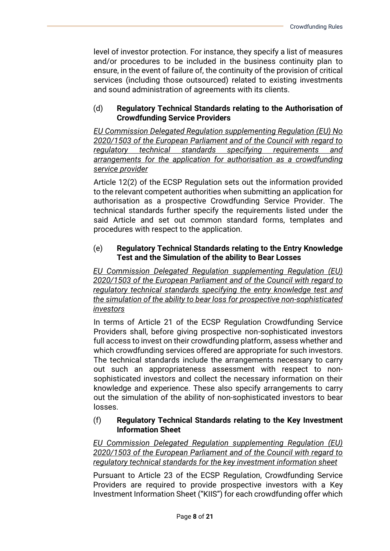level of investor protection. For instance, they specify a list of measures and/or procedures to be included in the business continuity plan to ensure, in the event of failure of, the continuity of the provision of critical services (including those outsourced) related to existing investments and sound administration of agreements with its clients.

#### (d) **Regulatory Technical Standards relating to the Authorisation of Crowdfunding Service Providers**

*EU Commission Delegated Regulation supplementing Regulation (EU) No 2020/1503 of the European Parliament and of the Council with regard to regulatory technical standards specifying requirements and arrangements for the application for authorisation as a crowdfunding service provider*

Article 12(2) of the ECSP Regulation sets out the information provided to the relevant competent authorities when submitting an application for authorisation as a prospective Crowdfunding Service Provider. The technical standards further specify the requirements listed under the said Article and set out common standard forms, templates and procedures with respect to the application.

#### (e) **Regulatory Technical Standards relating to the Entry Knowledge Test and the Simulation of the ability to Bear Losses**

*EU Commission Delegated Regulation supplementing Regulation (EU) 2020/1503 of the European Parliament and of the Council with regard to regulatory technical standards specifying the entry knowledge test and the simulation of the ability to bear loss for prospective non-sophisticated investors* 

In terms of Article 21 of the ECSP Regulation Crowdfunding Service Providers shall, before giving prospective non-sophisticated investors full access to invest on their crowdfunding platform, assess whether and which crowdfunding services offered are appropriate for such investors. The technical standards include the arrangements necessary to carry out such an appropriateness assessment with respect to nonsophisticated investors and collect the necessary information on their knowledge and experience. These also specify arrangements to carry out the simulation of the ability of non-sophisticated investors to bear losses.

#### (f) **Regulatory Technical Standards relating to the Key Investment Information Sheet**

*EU Commission Delegated Regulation supplementing Regulation (EU) 2020/1503 of the European Parliament and of the Council with regard to regulatory technical standards for the key investment information sheet*

Pursuant to Article 23 of the ECSP Regulation, Crowdfunding Service Providers are required to provide prospective investors with a Key Investment Information Sheet ("KIIS") for each crowdfunding offer which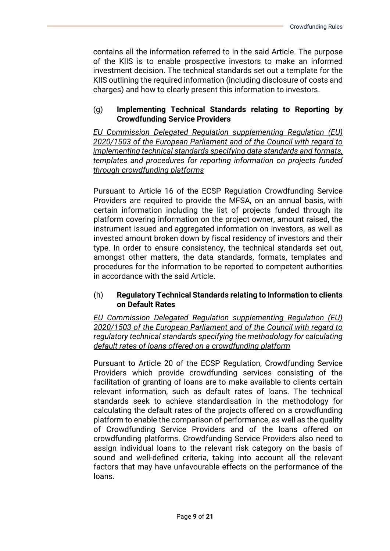contains all the information referred to in the said Article. The purpose of the KIIS is to enable prospective investors to make an informed investment decision. The technical standards set out a template for the KIIS outlining the required information (including disclosure of costs and charges) and how to clearly present this information to investors.

#### (g) **Implementing Technical Standards relating to Reporting by Crowdfunding Service Providers**

*EU Commission Delegated Regulation supplementing Regulation (EU) 2020/1503 of the European Parliament and of the Council with regard to implementing technical standards specifying data standards and formats, templates and procedures for reporting information on projects funded through crowdfunding platforms*

Pursuant to Article 16 of the ECSP Regulation Crowdfunding Service Providers are required to provide the MFSA, on an annual basis, with certain information including the list of projects funded through its platform covering information on the project owner, amount raised, the instrument issued and aggregated information on investors, as well as invested amount broken down by fiscal residency of investors and their type. In order to ensure consistency, the technical standards set out, amongst other matters, the data standards, formats, templates and procedures for the information to be reported to competent authorities in accordance with the said Article.

#### (h) **Regulatory Technical Standards relating to Information to clients on Default Rates**

*EU Commission Delegated Regulation supplementing Regulation (EU) 2020/1503 of the European Parliament and of the Council with regard to regulatory technical standards specifying the methodology for calculating default rates of loans offered on a crowdfunding platform*

Pursuant to Article 20 of the ECSP Regulation, Crowdfunding Service Providers which provide crowdfunding services consisting of the facilitation of granting of loans are to make available to clients certain relevant information, such as default rates of loans. The technical standards seek to achieve standardisation in the methodology for calculating the default rates of the projects offered on a crowdfunding platform to enable the comparison of performance, as well as the quality of Crowdfunding Service Providers and of the loans offered on crowdfunding platforms. Crowdfunding Service Providers also need to assign individual loans to the relevant risk category on the basis of sound and well-defined criteria, taking into account all the relevant factors that may have unfavourable effects on the performance of the loans.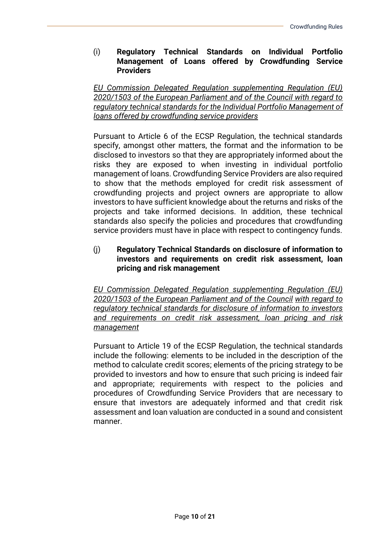#### (i) **Regulatory Technical Standards on Individual Portfolio Management of Loans offered by Crowdfunding Service Providers**

*EU Commission Delegated Regulation supplementing Regulation (EU) 2020/1503 of the European Parliament and of the Council with regard to regulatory technical standards for the Individual Portfolio Management of loans offered by crowdfunding service providers*

Pursuant to Article 6 of the ECSP Regulation, the technical standards specify, amongst other matters, the format and the information to be disclosed to investors so that they are appropriately informed about the risks they are exposed to when investing in individual portfolio management of loans. Crowdfunding Service Providers are also required to show that the methods employed for credit risk assessment of crowdfunding projects and project owners are appropriate to allow investors to have sufficient knowledge about the returns and risks of the projects and take informed decisions. In addition, these technical standards also specify the policies and procedures that crowdfunding service providers must have in place with respect to contingency funds.

#### (j) **Regulatory Technical Standards on disclosure of information to investors and requirements on credit risk assessment, loan pricing and risk management**

*EU Commission Delegated Regulation supplementing Regulation (EU) 2020/1503 of the European Parliament and of the Council with regard to regulatory technical standards for disclosure of information to investors and requirements on credit risk assessment, loan pricing and risk management*

Pursuant to Article 19 of the ECSP Regulation, the technical standards include the following: elements to be included in the description of the method to calculate credit scores; elements of the pricing strategy to be provided to investors and how to ensure that such pricing is indeed fair and appropriate; requirements with respect to the policies and procedures of Crowdfunding Service Providers that are necessary to ensure that investors are adequately informed and that credit risk assessment and loan valuation are conducted in a sound and consistent manner.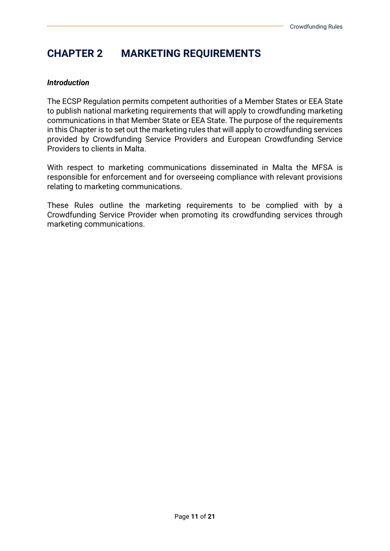### **CHAPTER 2 MARKETING REQUIREMENTS**

#### *Introduction*

The ECSP Regulation permits competent authorities of a Member States or EEA State to publish national marketing requirements that will apply to crowdfunding marketing communications in that Member State or EEA State. The purpose of the requirements in this Chapter is to set out the marketing rules that will apply to crowdfunding services provided by Crowdfunding Service Providers and European Crowdfunding Service Providers to clients in Malta.

With respect to marketing communications disseminated in Malta the MFSA is responsible for enforcement and for overseeing compliance with relevant provisions relating to marketing communications.

These Rules outline the marketing requirements to be complied with by a Crowdfunding Service Provider when promoting its crowdfunding services through marketing communications.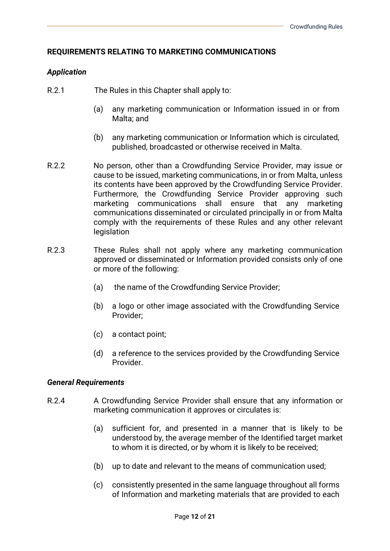#### **REQUIREMENTS RELATING TO MARKETING COMMUNICATIONS**

#### *Application*

- R.2.1 The Rules in this Chapter shall apply to:
	- (a) any marketing communication or Information issued in or from Malta; and
	- (b) any marketing communication or Information which is circulated, published, broadcasted or otherwise received in Malta.
- R.2.2 No person, other than a Crowdfunding Service Provider, may issue or cause to be issued, marketing communications, in or from Malta, unless its contents have been approved by the Crowdfunding Service Provider. Furthermore, the Crowdfunding Service Provider approving such marketing communications shall ensure that any marketing communications disseminated or circulated principally in or from Malta comply with the requirements of these Rules and any other relevant legislation
- R.2.3 These Rules shall not apply where any marketing communication approved or disseminated or Information provided consists only of one or more of the following:
	- (a) the name of the Crowdfunding Service Provider;
	- (b) a logo or other image associated with the Crowdfunding Service Provider;
	- (c) a contact point;
	- (d) a reference to the services provided by the Crowdfunding Service Provider.

#### *General Requirements*

- R.2.4 A Crowdfunding Service Provider shall ensure that any information or marketing communication it approves or circulates is:
	- (a) sufficient for, and presented in a manner that is likely to be understood by, the average member of the Identified target market to whom it is directed, or by whom it is likely to be received;
	- (b) up to date and relevant to the means of communication used;
	- (c) consistently presented in the same language throughout all forms of Information and marketing materials that are provided to each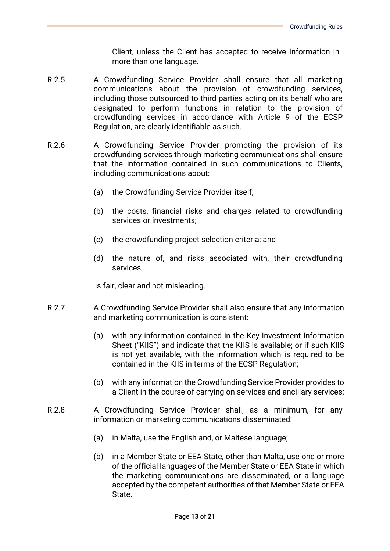Client, unless the Client has accepted to receive Information in more than one language.

- R.2.5 A Crowdfunding Service Provider shall ensure that all marketing communications about the provision of crowdfunding services, including those outsourced to third parties acting on its behalf who are designated to perform functions in relation to the provision of crowdfunding services in accordance with Article 9 of the ECSP Regulation, are clearly identifiable as such.
- R.2.6 A Crowdfunding Service Provider promoting the provision of its crowdfunding services through marketing communications shall ensure that the information contained in such communications to Clients, including communications about:
	- (a) the Crowdfunding Service Provider itself;
	- (b) the costs, financial risks and charges related to crowdfunding services or investments;
	- (c) the crowdfunding project selection criteria; and
	- (d) the nature of, and risks associated with, their crowdfunding services,

is fair, clear and not misleading.

- R.2.7 A Crowdfunding Service Provider shall also ensure that any information and marketing communication is consistent:
	- (a) with any information contained in the Key Investment Information Sheet ("KIIS") and indicate that the KIIS is available; or if such KIIS is not yet available, with the information which is required to be contained in the KIIS in terms of the ECSP Regulation;
	- (b) with any information the Crowdfunding Service Provider provides to a Client in the course of carrying on services and ancillary services;
- R.2.8 A Crowdfunding Service Provider shall, as a minimum, for any information or marketing communications disseminated:
	- (a) in Malta, use the English and, or Maltese language;
	- (b) in a Member State or EEA State, other than Malta, use one or more of the official languages of the Member State or EEA State in which the marketing communications are disseminated, or a language accepted by the competent authorities of that Member State or EEA State.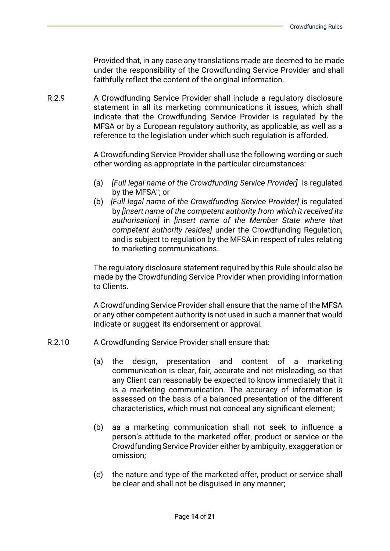Provided that, in any case any translations made are deemed to be made under the responsibility of the Crowdfunding Service Provider and shall faithfully reflect the content of the original information.

R.2.9 A Crowdfunding Service Provider shall include a regulatory disclosure statement in all its marketing communications it issues, which shall indicate that the Crowdfunding Service Provider is regulated by the MFSA or by a European regulatory authority, as applicable, as well as a reference to the legislation under which such regulation is afforded.

> A Crowdfunding Service Provider shall use the following wording or such other wording as appropriate in the particular circumstances:

- (a) *[Full legal name of the Crowdfunding Service Provider]* is regulated by the MFSA''; or
- (b) *[Full legal name of the Crowdfunding Service Provider]* is regulated by *[insert name of the competent authority from which it received its authorisation]* in *[insert name of the Member State where that competent authority resides]* under the Crowdfunding Regulation, and is subject to regulation by the MFSA in respect of rules relating to marketing communications.

The regulatory disclosure statement required by this Rule should also be made by the Crowdfunding Service Provider when providing Information to Clients.

A Crowdfunding Service Provider shall ensure that the name of the MFSA or any other competent authority is not used in such a manner that would indicate or suggest its endorsement or approval.

- R.2.10 A Crowdfunding Service Provider shall ensure that:
	- (a) the design, presentation and content of a marketing communication is clear, fair, accurate and not misleading, so that any Client can reasonably be expected to know immediately that it is a marketing communication. The accuracy of information is assessed on the basis of a balanced presentation of the different characteristics, which must not conceal any significant element;
	- (b) aa a marketing communication shall not seek to influence a person's attitude to the marketed offer, product or service or the Crowdfunding Service Provider either by ambiguity, exaggeration or omission;
	- (c) the nature and type of the marketed offer, product or service shall be clear and shall not be disguised in any manner;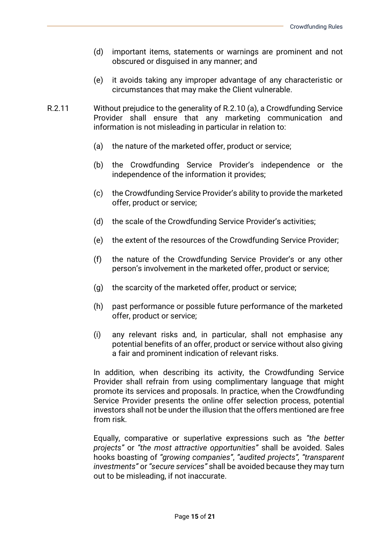- (d) important items, statements or warnings are prominent and not obscured or disguised in any manner; and
- (e) it avoids taking any improper advantage of any characteristic or circumstances that may make the Client vulnerable.
- R.2.11 Without prejudice to the generality of R.2.10 (a), a Crowdfunding Service Provider shall ensure that any marketing communication and information is not misleading in particular in relation to:
	- (a) the nature of the marketed offer, product or service;
	- (b) the Crowdfunding Service Provider's independence or the independence of the information it provides;
	- (c) the Crowdfunding Service Provider's ability to provide the marketed offer, product or service;
	- (d) the scale of the Crowdfunding Service Provider's activities;
	- (e) the extent of the resources of the Crowdfunding Service Provider;
	- (f) the nature of the Crowdfunding Service Provider's or any other person's involvement in the marketed offer, product or service;
	- (g) the scarcity of the marketed offer, product or service;
	- (h) past performance or possible future performance of the marketed offer, product or service;
	- (i) any relevant risks and, in particular, shall not emphasise any potential benefits of an offer, product or service without also giving a fair and prominent indication of relevant risks.

In addition, when describing its activity, the Crowdfunding Service Provider shall refrain from using complimentary language that might promote its services and proposals. In practice, when the Crowdfunding Service Provider presents the online offer selection process, potential investors shall not be under the illusion that the offers mentioned are free from risk.

Equally, comparative or superlative expressions such as *"the better projects"* or *"the most attractive opportunities"* shall be avoided. Sales hooks boasting of *"growing companies"*, *"audited projects", "transparent investments"* or *"secure services"* shall be avoided because they may turn out to be misleading, if not inaccurate.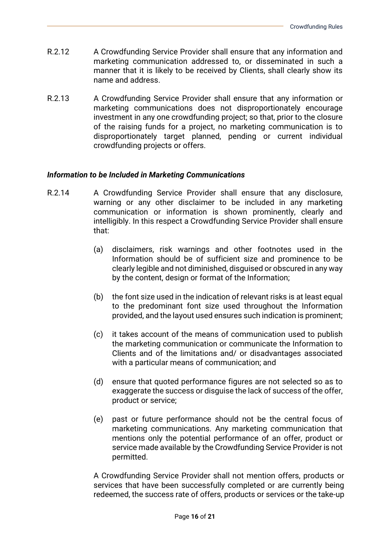- R.2.12 A Crowdfunding Service Provider shall ensure that any information and marketing communication addressed to, or disseminated in such a manner that it is likely to be received by Clients, shall clearly show its name and address.
- R.2.13 A Crowdfunding Service Provider shall ensure that any information or marketing communications does not disproportionately encourage investment in any one crowdfunding project; so that, prior to the closure of the raising funds for a project, no marketing communication is to disproportionately target planned, pending or current individual crowdfunding projects or offers.

#### *Information to be Included in Marketing Communications*

- R.2.14 A Crowdfunding Service Provider shall ensure that any disclosure, warning or any other disclaimer to be included in any marketing communication or information is shown prominently, clearly and intelligibly. In this respect a Crowdfunding Service Provider shall ensure that:
	- (a) disclaimers, risk warnings and other footnotes used in the Information should be of sufficient size and prominence to be clearly legible and not diminished, disguised or obscured in any way by the content, design or format of the Information;
	- (b) the font size used in the indication of relevant risks is at least equal to the predominant font size used throughout the Information provided, and the layout used ensures such indication is prominent;
	- (c) it takes account of the means of communication used to publish the marketing communication or communicate the Information to Clients and of the limitations and/ or disadvantages associated with a particular means of communication; and
	- (d) ensure that quoted performance figures are not selected so as to exaggerate the success or disquise the lack of success of the offer, product or service;
	- (e) past or future performance should not be the central focus of marketing communications. Any marketing communication that mentions only the potential performance of an offer, product or service made available by the Crowdfunding Service Provider is not permitted.

A Crowdfunding Service Provider shall not mention offers, products or services that have been successfully completed or are currently being redeemed, the success rate of offers, products or services or the take-up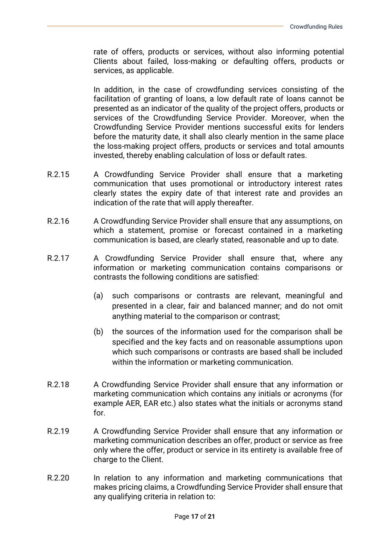rate of offers, products or services, without also informing potential Clients about failed, loss-making or defaulting offers, products or services, as applicable.

In addition, in the case of crowdfunding services consisting of the facilitation of granting of loans, a low default rate of loans cannot be presented as an indicator of the quality of the project offers, products or services of the Crowdfunding Service Provider. Moreover, when the Crowdfunding Service Provider mentions successful exits for lenders before the maturity date, it shall also clearly mention in the same place the loss-making project offers, products or services and total amounts invested, thereby enabling calculation of loss or default rates.

- R.2.15 A Crowdfunding Service Provider shall ensure that a marketing communication that uses promotional or introductory interest rates clearly states the expiry date of that interest rate and provides an indication of the rate that will apply thereafter.
- R.2.16 A Crowdfunding Service Provider shall ensure that any assumptions, on which a statement, promise or forecast contained in a marketing communication is based, are clearly stated, reasonable and up to date.
- R.2.17 A Crowdfunding Service Provider shall ensure that, where any information or marketing communication contains comparisons or contrasts the following conditions are satisfied:
	- (a) such comparisons or contrasts are relevant, meaningful and presented in a clear, fair and balanced manner; and do not omit anything material to the comparison or contrast;
	- (b) the sources of the information used for the comparison shall be specified and the key facts and on reasonable assumptions upon which such comparisons or contrasts are based shall be included within the information or marketing communication.
- R.2.18 A Crowdfunding Service Provider shall ensure that any information or marketing communication which contains any initials or acronyms (for example AER, EAR etc.) also states what the initials or acronyms stand for.
- R.2.19 A Crowdfunding Service Provider shall ensure that any information or marketing communication describes an offer, product or service as free only where the offer, product or service in its entirety is available free of charge to the Client.
- R.2.20 In relation to any information and marketing communications that makes pricing claims, a Crowdfunding Service Provider shall ensure that any qualifying criteria in relation to: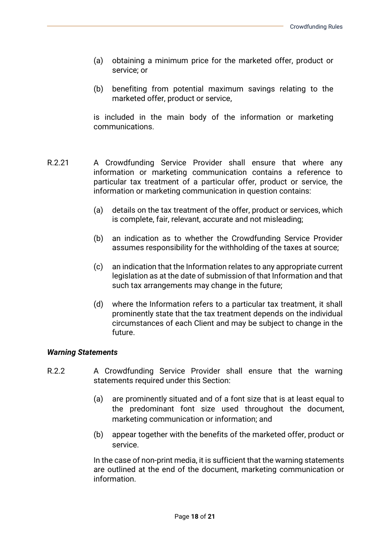- (a) obtaining a minimum price for the marketed offer, product or service; or
- (b) benefiting from potential maximum savings relating to the marketed offer, product or service,

is included in the main body of the information or marketing communications.

- R.2.21 A Crowdfunding Service Provider shall ensure that where any information or marketing communication contains a reference to particular tax treatment of a particular offer, product or service, the information or marketing communication in question contains:
	- (a) details on the tax treatment of the offer, product or services, which is complete, fair, relevant, accurate and not misleading;
	- (b) an indication as to whether the Crowdfunding Service Provider assumes responsibility for the withholding of the taxes at source;
	- (c) an indication that the Information relates to any appropriate current legislation as at the date of submission of that Information and that such tax arrangements may change in the future;
	- (d) where the Information refers to a particular tax treatment, it shall prominently state that the tax treatment depends on the individual circumstances of each Client and may be subject to change in the future.

#### *Warning Statements*

- R.2.2 A Crowdfunding Service Provider shall ensure that the warning statements required under this Section:
	- (a) are prominently situated and of a font size that is at least equal to the predominant font size used throughout the document, marketing communication or information; and
	- (b) appear together with the benefits of the marketed offer, product or service.

In the case of non-print media, it is sufficient that the warning statements are outlined at the end of the document, marketing communication or information.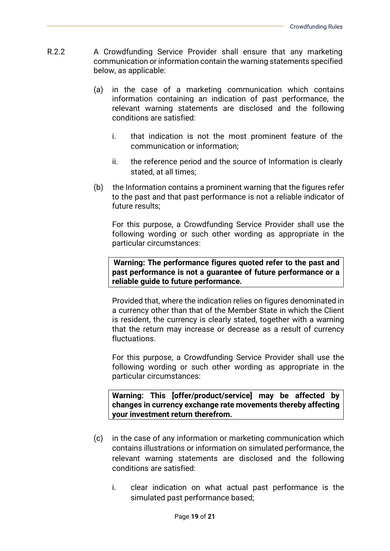- R.2.2 A Crowdfunding Service Provider shall ensure that any marketing communication or information contain the warning statements specified below, as applicable:
	- (a) in the case of a marketing communication which contains information containing an indication of past performance, the relevant warning statements are disclosed and the following conditions are satisfied:
		- i. that indication is not the most prominent feature of the communication or information;
		- ii. the reference period and the source of Information is clearly stated, at all times;
	- (b) the Information contains a prominent warning that the figures refer to the past and that past performance is not a reliable indicator of future results;

For this purpose, a Crowdfunding Service Provider shall use the following wording or such other wording as appropriate in the particular circumstances:

**Warning: The performance figures quoted refer to the past and past performance is not a guarantee of future performance or a reliable guide to future performance***.* 

Provided that, where the indication relies on figures denominated in a currency other than that of the Member State in which the Client is resident, the currency is clearly stated, together with a warning that the return may increase or decrease as a result of currency fluctuations.

For this purpose, a Crowdfunding Service Provider shall use the following wording or such other wording as appropriate in the particular circumstances:

**Warning: This [offer/product/service] may be affected by changes in currency exchange rate movements thereby affecting your investment return therefrom.**

- (c) in the case of any information or marketing communication which contains illustrations or information on simulated performance, the relevant warning statements are disclosed and the following conditions are satisfied:
	- i. clear indication on what actual past performance is the simulated past performance based;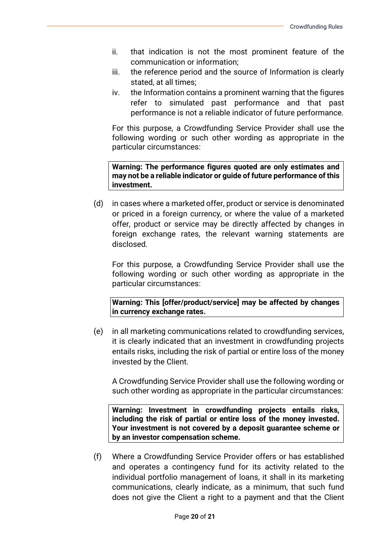- ii. that indication is not the most prominent feature of the communication or information;
- iii. the reference period and the source of Information is clearly stated, at all times;
- iv. the Information contains a prominent warning that the figures refer to simulated past performance and that past performance is not a reliable indicator of future performance.

For this purpose, a Crowdfunding Service Provider shall use the following wording or such other wording as appropriate in the particular circumstances:

**Warning: The performance figures quoted are only estimates and may not be a reliable indicator or guide of future performance of this investment.**

(d) in cases where a marketed offer, product or service is denominated or priced in a foreign currency, or where the value of a marketed offer, product or service may be directly affected by changes in foreign exchange rates, the relevant warning statements are disclosed.

For this purpose, a Crowdfunding Service Provider shall use the following wording or such other wording as appropriate in the particular circumstances:

**Warning: This [offer/product/service] may be affected by changes in currency exchange rates.** 

(e) in all marketing communications related to crowdfunding services, it is clearly indicated that an investment in crowdfunding projects entails risks, including the risk of partial or entire loss of the money invested by the Client.

A Crowdfunding Service Provider shall use the following wording or such other wording as appropriate in the particular circumstances:

**Warning: Investment in crowdfunding projects entails risks, including the risk of partial or entire loss of the money invested. Your investment is not covered by a deposit guarantee scheme or by an investor compensation scheme.**

(f) Where a Crowdfunding Service Provider offers or has established and operates a contingency fund for its activity related to the individual portfolio management of loans, it shall in its marketing communications, clearly indicate, as a minimum, that such fund does not give the Client a right to a payment and that the Client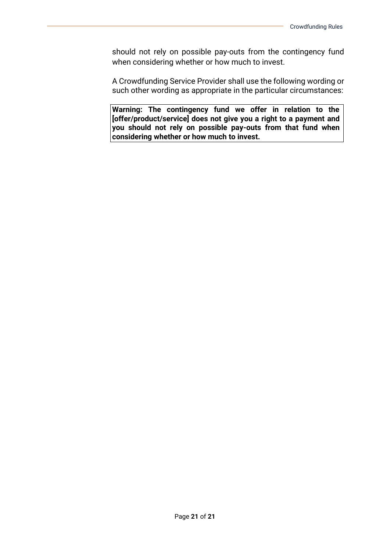should not rely on possible pay-outs from the contingency fund when considering whether or how much to invest.

A Crowdfunding Service Provider shall use the following wording or such other wording as appropriate in the particular circumstances:

**Warning: The contingency fund we offer in relation to the [offer/product/service] does not give you a right to a payment and you should not rely on possible pay-outs from that fund when considering whether or how much to invest.**